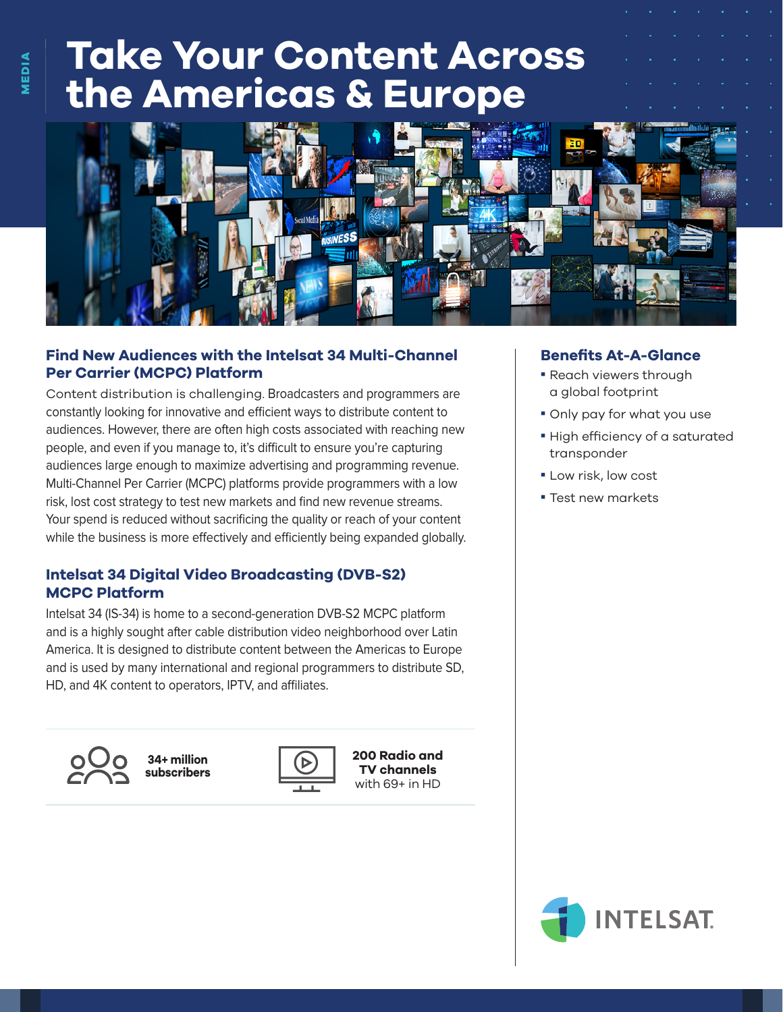# **Take Your Content Across the Americas & Europe**



## **Find New Audiences with the Intelsat 34 Multi-Channel Per Carrier (MCPC) Platform**

Content distribution is challenging. Broadcasters and programmers are constantly looking for innovative and efficient ways to distribute content to audiences. However, there are often high costs associated with reaching new people, and even if you manage to, it's difficult to ensure you're capturing audiences large enough to maximize advertising and programming revenue. Multi-Channel Per Carrier (MCPC) platforms provide programmers with a low risk, lost cost strategy to test new markets and find new revenue streams. Your spend is reduced without sacrificing the quality or reach of your content while the business is more effectively and efficiently being expanded globally.

# **Intelsat 34 Digital Video Broadcasting (DVB-S2) MCPC Platform**

Intelsat 34 (IS-34) is home to a second-generation DVB-S2 MCPC platform and is a highly sought after cable distribution video neighborhood over Latin America. It is designed to distribute content between the Americas to Europe and is used by many international and regional programmers to distribute SD, HD, and 4K content to operators, IPTV, and affiliates.



**34+ million subscribers**



**200 Radio and TV channels** with 69+ in HD

#### **Benefits At-A-Glance**

- Reach viewers through a global footprint
- Only pay for what you use
- High efficiency of a saturated transponder
- **Low risk, low cost**
- **Test new markets**